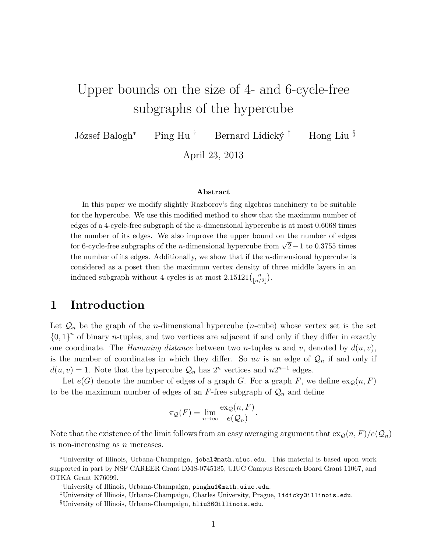# Upper bounds on the size of 4- and 6-cycle-free subgraphs of the hypercube

József Balogh<sup>∗</sup> Ping Hu <sup>†</sup> Bernard Lidický<sup>‡</sup> Hong Liu §

April 23, 2013

#### Abstract

In this paper we modify slightly Razborov's flag algebras machinery to be suitable for the hypercube. We use this modified method to show that the maximum number of edges of a 4-cycle-free subgraph of the n-dimensional hypercube is at most 0.6068 times the number of its edges. We also improve the upper bound on the number of edges for 6-cycle-free subgraphs of the *n*-dimensional hypercube from  $\sqrt{2}-1$  to 0.3755 times the number of its edges. Additionally, we show that if the n-dimensional hypercube is considered as a poset then the maximum vertex density of three middle layers in an induced subgraph without 4-cycles is at most  $2.15121\binom{n}{\lfloor n/2\rfloor}$  $\binom{n}{\lfloor n/2 \rfloor}$ .

#### 1 Introduction

Let  $\mathcal{Q}_n$  be the graph of the *n*-dimensional hypercube (*n*-cube) whose vertex set is the set  ${0, 1}^n$  of binary *n*-tuples, and two vertices are adjacent if and only if they differ in exactly one coordinate. The *Hamming distance* between two *n*-tuples u and v, denoted by  $d(u, v)$ , is the number of coordinates in which they differ. So uv is an edge of  $\mathcal{Q}_n$  if and only if  $d(u, v) = 1$ . Note that the hypercube  $\mathcal{Q}_n$  has  $2^n$  vertices and  $n2^{n-1}$  edges.

Let  $e(G)$  denote the number of edges of a graph G. For a graph F, we define  $ex_0(n, F)$ to be the maximum number of edges of an  $F$ -free subgraph of  $\mathcal{Q}_n$  and define

$$
\pi_{\mathcal{Q}}(F) = \lim_{n \to \infty} \frac{\operatorname{ex}_{\mathcal{Q}}(n, F)}{e(\mathcal{Q}_n)}.
$$

Note that the existence of the limit follows from an easy averaging argument that  $\exp(n, F)/e(Q_n)$ is non-increasing as  $n$  increases.

<sup>∗</sup>University of Illinois, Urbana-Champaign, jobal@math.uiuc.edu. This material is based upon work supported in part by NSF CAREER Grant DMS-0745185, UIUC Campus Research Board Grant 11067, and OTKA Grant K76099.

<sup>†</sup>University of Illinois, Urbana-Champaign, pinghu1@math.uiuc.edu.

<sup>‡</sup>University of Illinois, Urbana-Champaign, Charles University, Prague, lidicky@illinois.edu.

<sup>§</sup>University of Illinois, Urbana-Champaign, hliu36@illinois.edu.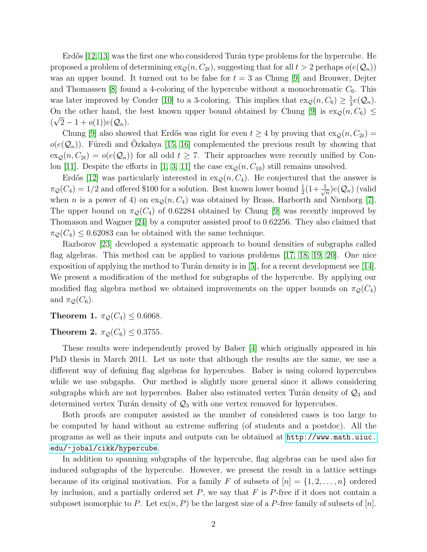Erdős  $[12, 13]$  $[12, 13]$  was the first one who considered Turán type problems for the hypercube. He proposed a problem of determining  $\exp(n, C_{2t})$ , suggesting that for all  $t > 2$  perhaps  $o(e(\mathcal{Q}_n))$ was an upper bound. It turned out to be false for  $t = 3$  as Chung [\[9\]](#page-13-0) and Brouwer, Dejter and Thomassen [\[8\]](#page-13-1) found a 4-coloring of the hypercube without a monochromatic  $C_6$ . This was later improved by Conder [\[10\]](#page-13-2) to a 3-coloring. This implies that  $\exp(n, C_6) \geq \frac{1}{3}$  $\frac{1}{3}e(Q_n)$ . On the other hand, the best known upper bound obtained by Chung [\[9\]](#page-13-0) is  $\exp(n, C_6) \leq$  $(\sqrt{2}-1+o(1))e(Q_n).$ 

Chung [\[9\]](#page-13-0) also showed that Erdős was right for even  $t \geq 4$  by proving that  $\exp(n, C_{2t}) =$  $o(e(\mathcal{Q}_n))$ . Füredi and Ozkahya [\[15,](#page-14-2) [16\]](#page-14-3) complemented the previous result by showing that  $\exp(n, C_{2t}) = o(e(\mathcal{Q}_n))$  for all odd  $t \geq 7$ . Their approaches were recently unified by Con-lon [\[11\]](#page-13-3). Despite the efforts in [\[1,](#page-13-4) [3,](#page-13-5) [11\]](#page-13-3) the case  $\exp(n, C_{10})$  still remains unsolved.

Erdős [\[12\]](#page-14-0) was particularly interested in  $ex_{\mathcal{Q}}(n, C_4)$ . He conjectured that the answer is  $\pi_{\mathcal{Q}}(C_4) = 1/2$  and offered \$100 for a solution. Best known lower bound  $\frac{1}{2}(1+\frac{1}{\sqrt{2}})$  $\frac{1}{n}$ ) $e(Q_n)$  (valid when n is a power of 4) on  $\exp(n, C_4)$  was obtained by Brass, Harborth and Nienborg [\[7\]](#page-13-6). The upper bound on  $\pi_{\mathcal{O}}(C_4)$  of 0.62284 obtained by Chung [\[9\]](#page-13-0) was recently improved by Thomason and Wagner [\[24\]](#page-14-4) by a computer assisted proof to 0.62256. They also claimed that  $\pi_{\mathcal{Q}}(C_4) \leq 0.62083$  can be obtained with the same technique.

Razborov [\[23\]](#page-14-5) developed a systematic approach to bound densities of subgraphs called flag algebras. This method can be applied to various problems [\[17,](#page-14-6) [18,](#page-14-7) [19,](#page-14-8) [20\]](#page-14-9). One nice exposition of applying the method to Turán density is in  $[5]$ , for a recent development see [\[14\]](#page-14-10). We present a modification of the method for subgraphs of the hypercube. By applying our modified flag algebra method we obtained improvements on the upper bounds on  $\pi_{\mathcal{Q}}(C_4)$ and  $\pi_{\mathcal{Q}}(C_6)$ .

<span id="page-1-0"></span>**Theorem 1.**  $\pi_{\mathcal{Q}}(C_4) \leq 0.6068$ .

<span id="page-1-1"></span>Theorem 2.  $\pi_{\mathcal{Q}}(C_6) \leq 0.3755$ .

These results were independently proved by Baber [\[4\]](#page-13-8) which originally appeared in his PhD thesis in March 2011. Let us note that although the results are the same, we use a different way of defining flag algebras for hypercubes. Baber is using colored hypercubes while we use subgaphs. Our method is slightly more general since it allows considering subgraphs which are not hypercubes. Baber also estimated vertex Turán density of  $\mathcal{Q}_3$  and determined vertex Turán density of  $\mathcal{Q}_3$  with one vertex removed for hypercubes.

Both proofs are computer assisted as the number of considered cases is too large to be computed by hand without an extreme suffering (of students and a postdoc). All the programs as well as their inputs and outputs can be obtained at [http://www.math.uiuc.](http://www.math.uiuc.edu/~jobal/cikk/hypercube) [edu/~jobal/cikk/hypercube](http://www.math.uiuc.edu/~jobal/cikk/hypercube).

In addition to spanning subgraphs of the hypercube, flag algebras can be used also for induced subgraphs of the hypercube. However, we present the result in a lattice settings because of its original motivation. For a family F of subsets of  $[n] = \{1, 2, \ldots, n\}$  ordered by inclusion, and a partially ordered set  $P$ , we say that  $F$  is  $P$ -free if it does not contain a subposet isomorphic to P. Let  $ex(n, P)$  be the largest size of a P-free family of subsets of [n].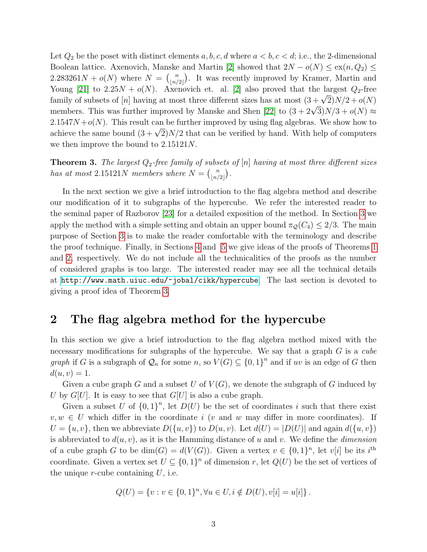Let  $Q_2$  be the poset with distinct elements  $a, b, c, d$  where  $a < b, c < d$ ; i.e., the 2-dimensional Boolean lattice. Axenovich, Manske and Martin [\[2\]](#page-13-9) showed that  $2N - o(N) \leq \text{ex}(n, Q_2) \leq$ 2.283261 $N + o(N)$  where  $N = \binom{n}{\lfloor n \rfloor}$  $\binom{n}{\lfloor n/2 \rfloor}$ . It was recently improved by Kramer, Martin and Young [\[21\]](#page-14-11) to  $2.25N + o(N)$ . Axenovich et. al. [\[2\]](#page-13-9) also proved that the largest  $Q_2$ -free family of subsets of [n] having at most three different sizes has at most  $(3 + \sqrt{2})N/2 + o(N)$ members. This was further improved by Manske and Shen [\[22\]](#page-14-12) to  $(3 + 2\sqrt{3})N/3 + o(N) \approx$  $2.1547N + o(N)$ . This result can be further improved by using flag algebras. We show how to achieve the same bound  $(3 + \sqrt{2})N/2$  that can be verified by hand. With help of computers we then improve the bound to 2.15121N.

<span id="page-2-0"></span>**Theorem 3.** The largest  $Q_2$ -free family of subsets of [n] having at most three different sizes has at most 2.15121N members where  $N = \binom{n}{\lfloor n \rfloor}$  $\binom{n}{\lfloor n/2 \rfloor}$ .

In the next section we give a brief introduction to the flag algebra method and describe our modification of it to subgraphs of the hypercube. We refer the interested reader to the seminal paper of Razborov [\[23\]](#page-14-5) for a detailed exposition of the method. In Section [3](#page-7-0) we apply the method with a simple setting and obtain an upper bound  $\pi_{\mathcal{Q}}(C_4) \leq 2/3$ . The main purpose of Section [3](#page-7-0) is to make the reader comfortable with the terminology and describe the proof technique. Finally, in Sections [4](#page-9-0) and [5](#page-10-0) we give ideas of the proofs of Theorems [1](#page-1-0) and [2,](#page-1-1) respectively. We do not include all the technicalities of the proofs as the number of considered graphs is too large. The interested reader may see all the technical details at <http://www.math.uiuc.edu/~jobal/cikk/hypercube>. The last section is devoted to giving a proof idea of Theorem [3.](#page-2-0)

#### 2 The flag algebra method for the hypercube

In this section we give a brief introduction to the flag algebra method mixed with the necessary modifications for subgraphs of the hypercube. We say that a graph G is a cube *graph* if G is a subgraph of  $\mathcal{Q}_n$  for some n, so  $V(G) \subseteq \{0,1\}^n$  and if uv is an edge of G then  $d(u, v) = 1.$ 

Given a cube graph G and a subset U of  $V(G)$ , we denote the subgraph of G induced by U by  $G[U]$ . It is easy to see that  $G[U]$  is also a cube graph.

Given a subset U of  ${0,1}^n$ , let  $D(U)$  be the set of coordinates i such that there exist  $v, w \in U$  which differ in the coordinate i (v and w may differ in more coordinates). If  $U = \{u, v\}$ , then we abbreviate  $D(\{u, v\})$  to  $D(u, v)$ . Let  $d(U) = |D(U)|$  and again  $d(\{u, v\})$ is abbreviated to  $d(u, v)$ , as it is the Hamming distance of u and v. We define the *dimension* of a cube graph G to be  $dim(G) = d(V(G))$ . Given a vertex  $v \in \{0,1\}^n$ , let  $v[i]$  be its  $i^{\text{th}}$ coordinate. Given a vertex set  $U \subseteq \{0,1\}^n$  of dimension r, let  $Q(U)$  be the set of vertices of the unique  $r$ -cube containing  $U$ , i.e.

$$
Q(U) = \{v : v \in \{0,1\}^n, \forall u \in U, i \notin D(U), v[i] = u[i]\}.
$$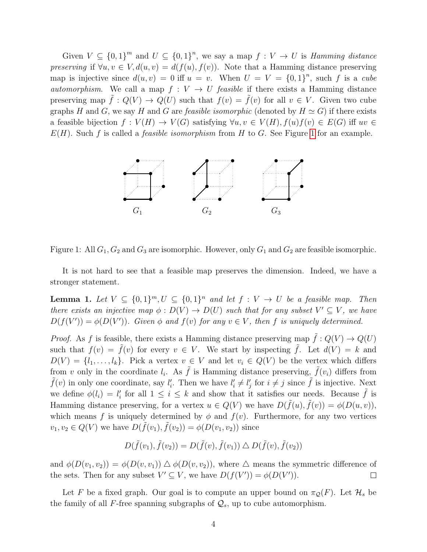Given  $V \subseteq \{0,1\}^m$  and  $U \subseteq \{0,1\}^n$ , we say a map  $f : V \to U$  is *Hamming distance* preserving if  $\forall u, v \in V, d(u, v) = d(f(u), f(v))$ . Note that a Hamming distance preserving map is injective since  $d(u, v) = 0$  iff  $u = v$ . When  $U = V = \{0, 1\}^n$ , such f is a cube automorphism. We call a map  $f: V \to U$  feasible if there exists a Hamming distance preserving map  $\hat{f}: Q(V) \to Q(U)$  such that  $f(v) = \hat{f}(v)$  for all  $v \in V$ . Given two cube graphs H and G, we say H and G are *feasible isomorphic* (denoted by  $H \simeq G$ ) if there exists a feasible bijection  $f: V(H) \to V(G)$  satisfying  $\forall u, v \in V(H), f(u)f(v) \in E(G)$  iff  $uv \in$  $E(H)$ . Such f is called a *feasible isomorphism* from H to G. See Figure [1](#page-3-0) for an example.

<span id="page-3-0"></span>

Figure 1: All  $G_1, G_2$  and  $G_3$  are isomorphic. However, only  $G_1$  and  $G_2$  are feasible isomorphic.

It is not hard to see that a feasible map preserves the dimension. Indeed, we have a stronger statement.

<span id="page-3-1"></span>**Lemma 1.** Let  $V \subseteq \{0,1\}^m$ ,  $U \subseteq \{0,1\}^n$  and let  $f : V \rightarrow U$  be a feasible map. Then there exists an injective map  $\phi: D(V) \to D(U)$  such that for any subset  $V' \subseteq V$ , we have  $D(f(V')) = \phi(D(V'))$ . Given  $\phi$  and  $f(v)$  for any  $v \in V$ , then f is uniquely determined.

*Proof.* As f is feasible, there exists a Hamming distance preserving map  $\tilde{f}: Q(V) \to Q(U)$ such that  $f(v) = \tilde{f}(v)$  for every  $v \in V$ . We start by inspecting  $\tilde{f}$ . Let  $d(V) = k$  and  $D(V) = \{l_1, \ldots, l_k\}$ . Pick a vertex  $v \in V$  and let  $v_i \in Q(V)$  be the vertex which differs from v only in the coordinate  $l_i$ . As  $\tilde{f}$  is Hamming distance preserving,  $\tilde{f}(v_i)$  differs from  $\tilde{f}(v)$  in only one coordinate, say  $l'_i$ . Then we have  $l'_i \neq l'_j$  for  $i \neq j$  since  $\tilde{f}$  is injective. Next we define  $\phi(l_i) = l'_i$  for all  $1 \leq i \leq k$  and show that it satisfies our needs. Because  $\tilde{f}$  is Hamming distance preserving, for a vertex  $u \in Q(V)$  we have  $D(\tilde{f}(u), \tilde{f}(v)) = \phi(D(u, v)),$ which means f is uniquely determined by  $\phi$  and  $f(v)$ . Furthermore, for any two vertices  $v_1, v_2 \in Q(V)$  we have  $D(\tilde{f}(v_1), \tilde{f}(v_2)) = \phi(D(v_1, v_2))$  since

$$
D(\tilde{f}(v_1), \tilde{f}(v_2)) = D(\tilde{f}(v), \tilde{f}(v_1)) \bigtriangleup D(\tilde{f}(v), \tilde{f}(v_2))
$$

and  $\phi(D(v_1, v_2)) = \phi(D(v, v_1)) \triangle \phi(D(v, v_2))$ , where  $\triangle$  means the symmetric difference of the sets. Then for any subset  $V' \subseteq V$ , we have  $D(f(V')) = \phi(D(V'))$ .  $\Box$ 

Let F be a fixed graph. Our goal is to compute an upper bound on  $\pi_{\mathcal{Q}}(F)$ . Let  $\mathcal{H}_s$  be the family of all F-free spanning subgraphs of  $\mathcal{Q}_s$ , up to cube automorphism.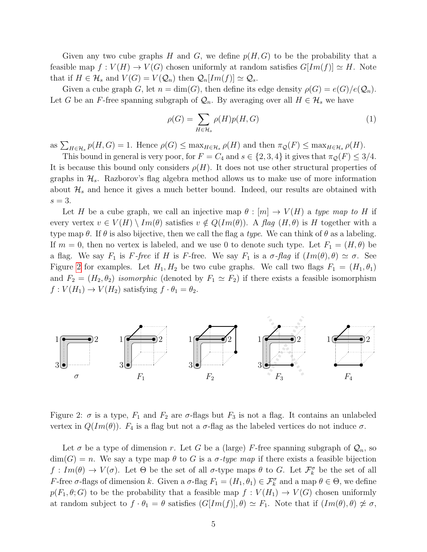Given any two cube graphs H and G, we define  $p(H, G)$  to be the probability that a feasible map  $f: V(H) \to V(G)$  chosen uniformly at random satisfies  $G[Im(f)] \simeq H$ . Note that if  $H \in \mathcal{H}_s$  and  $V(G) = V(\mathcal{Q}_n)$  then  $\mathcal{Q}_n[Im(f)] \simeq \mathcal{Q}_s$ .

Given a cube graph G, let  $n = \dim(G)$ , then define its edge density  $\rho(G) = e(G)/e(Q_n)$ . Let G be an F-free spanning subgraph of  $\mathcal{Q}_n$ . By averaging over all  $H \in \mathcal{H}_s$  we have

<span id="page-4-1"></span>
$$
\rho(G) = \sum_{H \in \mathcal{H}_s} \rho(H)p(H, G) \tag{1}
$$

as  $\sum_{H \in \mathcal{H}_s} p(H, G) = 1$ . Hence  $\rho(G) \leq \max_{H \in \mathcal{H}_s} \rho(H)$  and then  $\pi_{\mathcal{Q}}(F) \leq \max_{H \in \mathcal{H}_s} \rho(H)$ .

This bound in general is very poor, for  $F = C_4$  and  $s \in \{2,3,4\}$  it gives that  $\pi_{\mathcal{Q}}(F) \leq 3/4$ . It is because this bound only considers  $\rho(H)$ . It does not use other structural properties of graphs in  $\mathcal{H}_s$ . Razborov's flag algebra method allows us to make use of more information about  $\mathcal{H}_s$  and hence it gives a much better bound. Indeed, our results are obtained with  $s=3$ .

Let H be a cube graph, we call an injective map  $\theta : [m] \to V(H)$  a type map to H if every vertex  $v \in V(H) \setminus Im(\theta)$  satisfies  $v \notin Q(Im(\theta))$ . A flag  $(H, \theta)$  is H together with a type map  $\theta$ . If  $\theta$  is also bijective, then we call the flag a type. We can think of  $\theta$  as a labeling. If  $m = 0$ , then no vertex is labeled, and we use 0 to denote such type. Let  $F_1 = (H, \theta)$  be a flag. We say  $F_1$  is F-free if H is F-free. We say  $F_1$  is a  $\sigma$ -flag if  $(Im(\theta), \theta) \simeq \sigma$ . See Figure [2](#page-4-0) for examples. Let  $H_1, H_2$  be two cube graphs. We call two flags  $F_1 = (H_1, \theta_1)$ and  $F_2 = (H_2, \theta_2)$  isomorphic (denoted by  $F_1 \simeq F_2$ ) if there exists a feasible isomorphism  $f: V(H_1) \to V(H_2)$  satisfying  $f \cdot \theta_1 = \theta_2$ .

<span id="page-4-0"></span>

Figure 2:  $\sigma$  is a type,  $F_1$  and  $F_2$  are  $\sigma$ -flags but  $F_3$  is not a flag. It contains an unlabeled vertex in  $Q(Im(\theta))$ .  $F_4$  is a flag but not a  $\sigma$ -flag as the labeled vertices do not induce  $\sigma$ .

Let  $\sigma$  be a type of dimension r. Let G be a (large) F-free spanning subgraph of  $\mathcal{Q}_n$ , so  $dim(G) = n$ . We say a type map  $\theta$  to G is a  $\sigma$ -type map if there exists a feasible bijection  $f: Im(\theta) \to V(\sigma)$ . Let  $\Theta$  be the set of all  $\sigma$ -type maps  $\theta$  to G. Let  $\mathcal{F}_{k}^{\sigma}$  be the set of all F-free  $\sigma$ -flags of dimension k. Given a  $\sigma$ -flag  $F_1 = (H_1, \theta_1) \in \mathcal{F}_k^{\sigma}$  and a map  $\theta \in \Theta$ , we define  $p(F_1, \theta; G)$  to be the probability that a feasible map  $f: V(H_1) \to V(G)$  chosen uniformly at random subject to  $f \cdot \theta_1 = \theta$  satisfies  $(G[Im(f)], \theta) \simeq F_1$ . Note that if  $(Im(\theta), \theta) \not\approx \sigma$ ,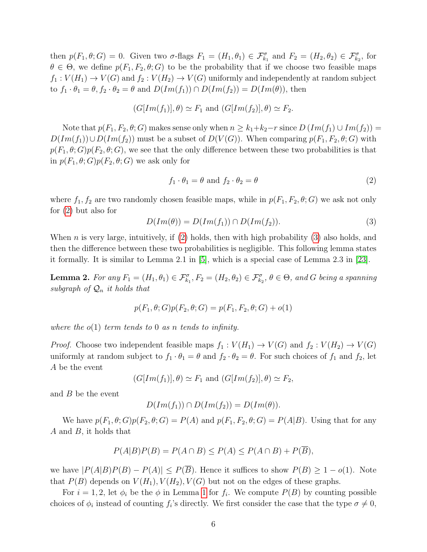then  $p(F_1, \theta; G) = 0$ . Given two  $\sigma$ -flags  $F_1 = (H_1, \theta_1) \in \mathcal{F}_{k_1}^{\sigma}$  and  $F_2 = (H_2, \theta_2) \in \mathcal{F}_{k_2}^{\sigma}$ , for  $\theta \in \Theta$ , we define  $p(F_1, F_2, \theta; G)$  to be the probability that if we choose two feasible maps  $f_1: V(H_1) \to V(G)$  and  $f_2: V(H_2) \to V(G)$  uniformly and independently at random subject to  $f_1 \cdot \theta_1 = \theta, f_2 \cdot \theta_2 = \theta$  and  $D(Im(f_1)) \cap D(Im(f_2)) = D(Im(\theta))$ , then

$$
(G[Im(f_1)], \theta) \simeq F_1
$$
 and  $(G[Im(f_2)], \theta) \simeq F_2$ .

Note that  $p(F_1, F_2, \theta; G)$  makes sense only when  $n \geq k_1 + k_2 - r$  since  $D(Im(f_1) \cup Im(f_2)) =$  $D(Im(f_1)) \cup D(Im(f_2))$  must be a subset of  $D(V(G))$ . When comparing  $p(F_1, F_2, \theta; G)$  with  $p(F_1, \theta; G)p(F_2, \theta; G)$ , we see that the only difference between these two probabilities is that in  $p(F_1, \theta; G)p(F_2, \theta; G)$  we ask only for

<span id="page-5-0"></span>
$$
f_1 \cdot \theta_1 = \theta \text{ and } f_2 \cdot \theta_2 = \theta \tag{2}
$$

where  $f_1, f_2$  are two randomly chosen feasible maps, while in  $p(F_1, F_2, \theta; G)$  we ask not only for [\(2\)](#page-5-0) but also for

<span id="page-5-1"></span>
$$
D(Im(\theta)) = D(Im(f_1)) \cap D(Im(f_2)). \tag{3}
$$

When *n* is very large, intuitively, if  $(2)$  holds, then with high probability  $(3)$  also holds, and then the difference between these two probabilities is negligible. This following lemma states it formally. It is similar to Lemma 2.1 in [\[5\]](#page-13-7), which is a special case of Lemma 2.3 in [\[23\]](#page-14-5).

<span id="page-5-2"></span>**Lemma 2.** For any  $F_1 = (H_1, \theta_1) \in \mathcal{F}_{k_1}^{\sigma}, F_2 = (H_2, \theta_2) \in \mathcal{F}_{k_2}^{\sigma}, \theta \in \Theta$ , and G being a spanning subgraph of  $\mathcal{Q}_n$  it holds that

$$
p(F_1, \theta; G)p(F_2, \theta; G) = p(F_1, F_2, \theta; G) + o(1)
$$

where the  $o(1)$  term tends to 0 as n tends to infinity.

*Proof.* Choose two independent feasible maps  $f_1 : V(H_1) \to V(G)$  and  $f_2 : V(H_2) \to V(G)$ uniformly at random subject to  $f_1 \cdot \theta_1 = \theta$  and  $f_2 \cdot \theta_2 = \theta$ . For such choices of  $f_1$  and  $f_2$ , let A be the event

$$
(G[Im(f_1)], \theta) \simeq F_1
$$
 and  $(G[Im(f_2)], \theta) \simeq F_2$ ,

and B be the event

$$
D(Im(f_1)) \cap D(Im(f_2)) = D(Im(\theta)).
$$

We have  $p(F_1, \theta; G)p(F_2, \theta; G) = P(A)$  and  $p(F_1, F_2, \theta; G) = P(A|B)$ . Using that for any A and B, it holds that

$$
P(A|B)P(B) = P(A \cap B) \le P(A) \le P(A \cap B) + P(\overline{B}),
$$

we have  $|P(A|B)P(B) - P(A)| \leq P(\overline{B})$ . Hence it suffices to show  $P(B) \geq 1 - o(1)$ . Note that  $P(B)$  depends on  $V(H_1), V(H_2), V(G)$  but not on the edges of these graphs.

For  $i = 1, 2$  $i = 1, 2$  $i = 1, 2$ , let  $\phi_i$  be the  $\phi$  in Lemma 1 for  $f_i$ . We compute  $P(B)$  by counting possible choices of  $\phi_i$  instead of counting  $f_i$ 's directly. We first consider the case that the type  $\sigma \neq 0$ ,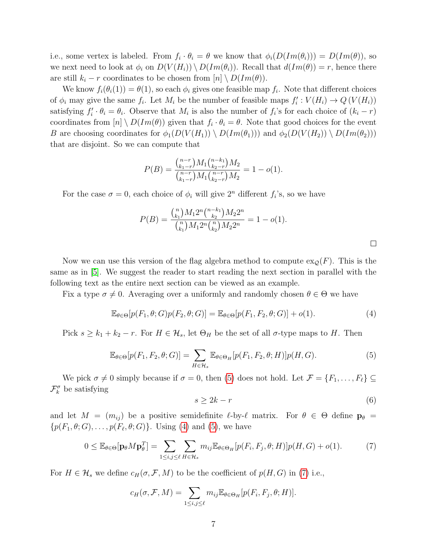i.e., some vertex is labeled. From  $f_i \cdot \theta_i = \theta$  we know that  $\phi_i(D(Im(\theta_i))) = D(Im(\theta))$ , so we next need to look at  $\phi_i$  on  $D(V(H_i)) \setminus D(Im(\theta_i))$ . Recall that  $d(Im(\theta)) = r$ , hence there are still  $k_i - r$  coordinates to be chosen from  $[n] \setminus D(Im(\theta)).$ 

We know  $f_i(\theta_i(1)) = \theta(1)$ , so each  $\phi_i$  gives one feasible map  $f_i$ . Note that different choices of  $\phi_i$  may give the same  $f_i$ . Let  $M_i$  be the number of feasible maps  $f'_i: V(H_i) \to Q(V(H_i))$ satisfying  $f_i' \cdot \theta_i = \theta_i$ . Observe that  $M_i$  is also the number of  $f_i$ 's for each choice of  $(k_i - r)$ coordinates from  $[n] \setminus D(Im(\theta))$  given that  $f_i \cdot \theta_i = \theta$ . Note that good choices for the event B are choosing coordinates for  $\phi_1(D(V(H_1)) \setminus D(Im(\theta_1)))$  and  $\phi_2(D(V(H_2)) \setminus D(Im(\theta_2)))$ that are disjoint. So we can compute that

$$
P(B) = \frac{\binom{n-r}{k_1-r} M_1 \binom{n-k_1}{k_2-r} M_2}{\binom{n-r}{k_1-r} M_1 \binom{n-r}{k_2-r} M_2} = 1 - o(1).
$$

For the case  $\sigma = 0$ , each choice of  $\phi_i$  will give  $2^n$  different  $f_i$ 's, so we have

$$
P(B) = \frac{\binom{n}{k_1} M_1 2^n \binom{n-k_1}{k_2} M_2 2^n}{\binom{n}{k_1} M_1 2^n \binom{n}{k_2} M_2 2^n} = 1 - o(1).
$$

Now we can use this version of the flag algebra method to compute  $\exp(F)$ . This is the same as in [\[5\]](#page-13-7). We suggest the reader to start reading the next section in parallel with the following text as the entire next section can be viewed as an example.

Fix a type  $\sigma \neq 0$ . Averaging over a uniformly and randomly chosen  $\theta \in \Theta$  we have

<span id="page-6-1"></span>
$$
\mathbb{E}_{\theta \in \Theta}[p(F_1, \theta; G)p(F_2, \theta; G)] = \mathbb{E}_{\theta \in \Theta}[p(F_1, F_2, \theta; G)] + o(1). \tag{4}
$$

Pick  $s \geq k_1 + k_2 - r$ . For  $H \in \mathcal{H}_s$ , let  $\Theta_H$  be the set of all  $\sigma$ -type maps to H. Then

<span id="page-6-0"></span>
$$
\mathbb{E}_{\theta \in \Theta}[p(F_1, F_2, \theta; G)] = \sum_{H \in \mathcal{H}_s} \mathbb{E}_{\theta \in \Theta_H}[p(F_1, F_2, \theta; H)] p(H, G).
$$
\n<sup>(5)</sup>

We pick  $\sigma \neq 0$  simply because if  $\sigma = 0$ , then [\(5\)](#page-6-0) does not hold. Let  $\mathcal{F} = \{F_1, \ldots, F_\ell\} \subseteq$  $\mathcal{F}_k^{\sigma}$  be satisfying

<span id="page-6-3"></span>
$$
s \ge 2k - r \tag{6}
$$

and let  $M = (m_{ij})$  be a positive semidefinite  $\ell$ -by- $\ell$  matrix. For  $\theta \in \Theta$  define  $\mathbf{p}_{\theta}$  =  $\{p(F_1,\theta;G),\ldots,p(F_\ell,\theta;G)\}\.$  Using [\(4\)](#page-6-1) and [\(5\)](#page-6-0), we have

<span id="page-6-2"></span>
$$
0 \leq \mathbb{E}_{\theta \in \Theta}[\mathbf{p}_{\theta}M\mathbf{p}_{\theta}^{T}] = \sum_{1 \leq i,j \leq \ell} \sum_{H \in \mathcal{H}_{s}} m_{ij} \mathbb{E}_{\theta \in \Theta_{H}}[p(F_{i}, F_{j}, \theta; H)]p(H, G) + o(1).
$$
 (7)

For  $H \in \mathcal{H}_s$  we define  $c_H(\sigma, \mathcal{F}, M)$  to be the coefficient of  $p(H, G)$  in [\(7\)](#page-6-2) i.e.,

$$
c_H(\sigma, \mathcal{F}, M) = \sum_{1 \leq i, j \leq \ell} m_{ij} \mathbb{E}_{\theta \in \Theta_H} [p(F_i, F_j, \theta; H)].
$$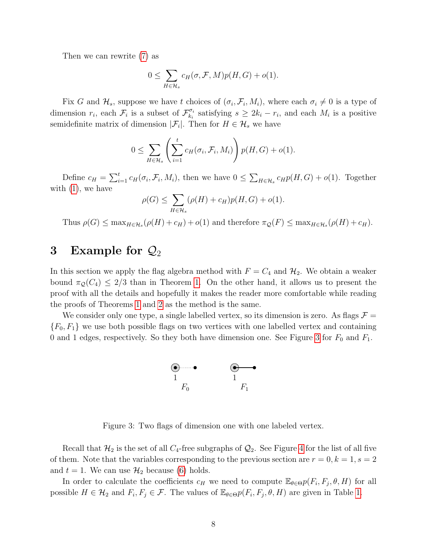Then we can rewrite [\(7\)](#page-6-2) as

$$
0 \leq \sum_{H \in \mathcal{H}_s} c_H(\sigma, \mathcal{F}, M) p(H, G) + o(1).
$$

Fix G and  $\mathcal{H}_s$ , suppose we have t choices of  $(\sigma_i, \mathcal{F}_i, M_i)$ , where each  $\sigma_i \neq 0$  is a type of dimension  $r_i$ , each  $\mathcal{F}_i$  is a subset of  $\mathcal{F}_{k_i}^{\sigma_i}$  $\mathcal{F}_{k_i}^i$  satisfying  $s \geq 2k_i - r_i$ , and each  $M_i$  is a positive semidefinite matrix of dimension  $|\mathcal{F}_i|$ . Then for  $H \in \mathcal{H}_s$  we have

$$
0 \leq \sum_{H \in \mathcal{H}_s} \left( \sum_{i=1}^t c_H(\sigma_i, \mathcal{F}_i, M_i) \right) p(H, G) + o(1).
$$

Define  $c_H = \sum_{i=1}^t c_H(\sigma_i, \mathcal{F}_i, M_i)$ , then we have  $0 \leq \sum_{H \in \mathcal{H}_s} c_H p(H, G) + o(1)$ . Together with  $(1)$ , we have

$$
\rho(G) \le \sum_{H \in \mathcal{H}_s} (\rho(H) + c_H) p(H, G) + o(1).
$$

Thus  $\rho(G) \leq \max_{H \in \mathcal{H}_s} (\rho(H) + c_H) + o(1)$  and therefore  $\pi_{\mathcal{Q}}(F) \leq \max_{H \in \mathcal{H}_s} (\rho(H) + c_H)$ .

### <span id="page-7-0"></span>3 Example for  $\mathcal{Q}_2$

In this section we apply the flag algebra method with  $F = C_4$  and  $H_2$ . We obtain a weaker bound  $\pi_{\mathcal{Q}}(C_4) \leq 2/3$  than in Theorem [1.](#page-1-0) On the other hand, it allows us to present the proof with all the details and hopefully it makes the reader more comfortable while reading the proofs of Theorems [1](#page-1-0) and [2](#page-1-1) as the method is the same.

<span id="page-7-1"></span>We consider only one type, a single labelled vertex, so its dimension is zero. As flags  $\mathcal{F} =$  ${F_0, F_1}$  we use both possible flags on two vertices with one labelled vertex and containing 0 and 1 edges, respectively. So they both have dimension one. See Figure [3](#page-7-1) for  $F_0$  and  $F_1$ .



Figure 3: Two flags of dimension one with one labeled vertex.

Recall that  $\mathcal{H}_2$  is the set of all  $C_4$ -free subgraphs of  $\mathcal{Q}_2$ . See Figure [4](#page-8-0) for the list of all five of them. Note that the variables corresponding to the previous section are  $r = 0, k = 1, s = 2$ and  $t = 1$ . We can use  $\mathcal{H}_2$  because [\(6\)](#page-6-3) holds.

In order to calculate the coefficients  $c_H$  we need to compute  $\mathbb{E}_{\theta \in \Theta} p(F_i, F_j, \theta, H)$  for all possible  $H \in \mathcal{H}_2$  and  $F_i, F_j \in \mathcal{F}$ . The values of  $\mathbb{E}_{\theta \in \Theta} p(F_i, F_j, \theta, H)$  are given in Table [1.](#page-8-1)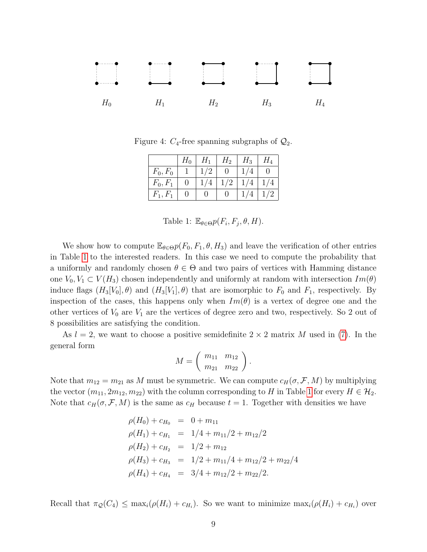<span id="page-8-0"></span>

<span id="page-8-1"></span>Figure 4:  $C_4$ -free spanning subgraphs of  $\mathcal{Q}_2$ .

|            | $H_0$        | $H_1$ | $H_2$ | $H_3$ | $H_4$ |
|------------|--------------|-------|-------|-------|-------|
| $F_0, F_0$ |              | 1/2   |       |       |       |
| $F_0, F_1$ | $\mathbf{I}$ | 1/4   | 1/2   | 1/4   | 1/4   |
| $F_1, F_1$ |              |       |       |       | 1/2   |

Table 1:  $\mathbb{E}_{\theta \in \Theta} p(F_i, F_j, \theta, H)$ .

We show how to compute  $\mathbb{E}_{\theta \in \Theta} p(F_0, F_1, \theta, H_3)$  and leave the verification of other entries in Table [1](#page-8-1) to the interested readers. In this case we need to compute the probability that a uniformly and randomly chosen  $\theta \in \Theta$  and two pairs of vertices with Hamming distance one  $V_0, V_1 \subset V(H_3)$  chosen independently and uniformly at random with intersection  $Im(\theta)$ induce flags  $(H_3[V_0], \theta)$  and  $(H_3[V_1], \theta)$  that are isomorphic to  $F_0$  and  $F_1$ , respectively. By inspection of the cases, this happens only when  $Im(\theta)$  is a vertex of degree one and the other vertices of  $V_0$  are  $V_1$  are the vertices of degree zero and two, respectively. So 2 out of 8 possibilities are satisfying the condition.

As  $l = 2$ , we want to choose a positive semidefinite  $2 \times 2$  matrix M used in [\(7\)](#page-6-2). In the general form

$$
M = \left(\begin{array}{cc} m_{11} & m_{12} \\ m_{21} & m_{22} \end{array}\right).
$$

Note that  $m_{12} = m_{21}$  as M must be symmetric. We can compute  $c_H(\sigma, \mathcal{F}, M)$  by multiplying the vector  $(m_{11}, 2m_{12}, m_{22})$  with the column corresponding to H in Table [1](#page-8-1) for every  $H \in \mathcal{H}_2$ . Note that  $c_H(\sigma, \mathcal{F}, M)$  is the same as  $c_H$  because  $t = 1$ . Together with densities we have

$$
\rho(H_0) + c_{H_0} = 0 + m_{11}
$$
  
\n
$$
\rho(H_1) + c_{H_1} = 1/4 + m_{11}/2 + m_{12}/2
$$
  
\n
$$
\rho(H_2) + c_{H_2} = 1/2 + m_{12}
$$
  
\n
$$
\rho(H_3) + c_{H_3} = 1/2 + m_{11}/4 + m_{12}/2 + m_{22}/4
$$
  
\n
$$
\rho(H_4) + c_{H_4} = 3/4 + m_{12}/2 + m_{22}/2.
$$

Recall that  $\pi_{\mathcal{Q}}(C_4) \leq \max_i(\rho(H_i) + c_{H_i})$ . So we want to minimize  $\max_i(\rho(H_i) + c_{H_i})$  over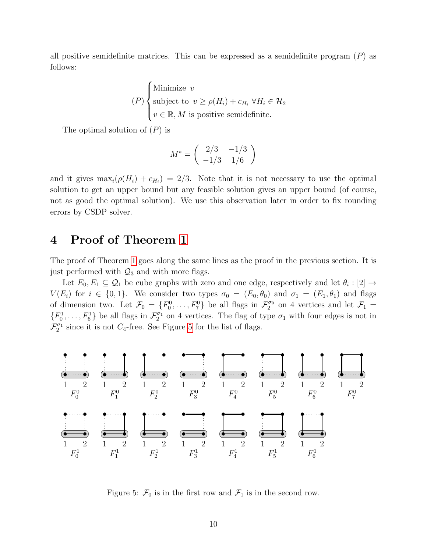all positive semidefinite matrices. This can be expressed as a semidefinite program  $(P)$  as follows:

$$
(P)\begin{cases} \text{Minimize } v\\ \text{subject to } v \ge \rho(H_i) + c_{H_i} \,\forall H_i \in \mathcal{H}_2\\ v \in \mathbb{R}, M \text{ is positive semidefinite.} \end{cases}
$$

The optimal solution of  $(P)$  is

$$
M^* = \left(\begin{array}{cc} 2/3 & -1/3 \\ -1/3 & 1/6 \end{array}\right)
$$

and it gives  $\max_i(\rho(H_i) + c_{H_i}) = 2/3$ . Note that it is not necessary to use the optimal solution to get an upper bound but any feasible solution gives an upper bound (of course, not as good the optimal solution). We use this observation later in order to fix rounding errors by CSDP solver.

## <span id="page-9-0"></span>4 Proof of Theorem [1](#page-1-0)

The proof of Theorem [1](#page-1-0) goes along the same lines as the proof in the previous section. It is just performed with  $\mathcal{Q}_3$  and with more flags.

Let  $E_0, E_1 \subseteq \mathcal{Q}_1$  be cube graphs with zero and one edge, respectively and let  $\theta_i : [2] \to$  $V(E_i)$  for  $i \in \{0,1\}$ . We consider two types  $\sigma_0 = (E_0, \theta_0)$  and  $\sigma_1 = (E_1, \theta_1)$  and flags of dimension two. Let  $\mathcal{F}_0 = \{F_0^0, \ldots, F_7^0\}$  be all flags in  $\mathcal{F}_2^{\sigma_0}$  on 4 vertices and let  $\mathcal{F}_1 =$  $\{F_0^1,\ldots,F_6^1\}$  be all flags in  $\mathcal{F}_2^{\sigma_1}$  on 4 vertices. The flag of type  $\sigma_1$  with four edges is not in  $\mathcal{F}_2^{\sigma_1}$  since it is not  $C_4$ -free. See Figure [5](#page-9-1) for the list of flags.

<span id="page-9-1"></span>

Figure 5:  $\mathcal{F}_0$  is in the first row and  $\mathcal{F}_1$  is in the second row.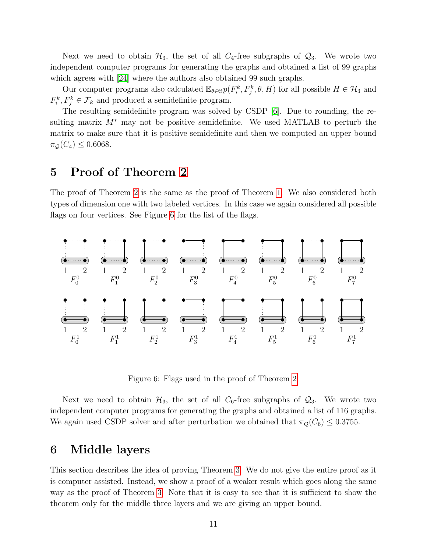Next we need to obtain  $\mathcal{H}_3$ , the set of all  $C_4$ -free subgraphs of  $\mathcal{Q}_3$ . We wrote two independent computer programs for generating the graphs and obtained a list of 99 graphs which agrees with [\[24\]](#page-14-4) where the authors also obtained 99 such graphs.

Our computer programs also calculated  $\mathbb{E}_{\theta \in \Theta} p(F_i^k, F_j^k, \theta, H)$  for all possible  $H \in \mathcal{H}_3$  and  $F_i^k, F_j^k \in \mathcal{F}_k$  and produced a semidefinite program.

The resulting semidefinite program was solved by CSDP [\[6\]](#page-13-10). Due to rounding, the resulting matrix  $M^*$  may not be positive semidefinite. We used MATLAB to perturb the matrix to make sure that it is positive semidefinite and then we computed an upper bound  $\pi_{\mathcal{Q}}(C_4) \leq 0.6068.$ 

#### <span id="page-10-0"></span>5 Proof of Theorem [2](#page-1-1)

The proof of Theorem [2](#page-1-1) is the same as the proof of Theorem [1.](#page-1-0) We also considered both types of dimension one with two labeled vertices. In this case we again considered all possible flags on four vertices. See Figure [6](#page-10-1) for the list of the flags.

<span id="page-10-1"></span>

Figure 6: Flags used in the proof of Theorem [2.](#page-1-1)

Next we need to obtain  $\mathcal{H}_3$ , the set of all  $C_6$ -free subgraphs of  $\mathcal{Q}_3$ . We wrote two independent computer programs for generating the graphs and obtained a list of 116 graphs. We again used CSDP solver and after perturbation we obtained that  $\pi_{\mathcal{Q}}(C_6) \leq 0.3755$ .

#### 6 Middle layers

This section describes the idea of proving Theorem [3.](#page-2-0) We do not give the entire proof as it is computer assisted. Instead, we show a proof of a weaker result which goes along the same way as the proof of Theorem [3.](#page-2-0) Note that it is easy to see that it is sufficient to show the theorem only for the middle three layers and we are giving an upper bound.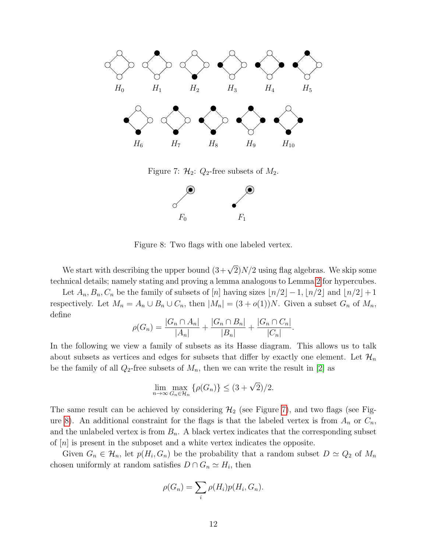<span id="page-11-0"></span>

Figure 7:  $\mathcal{H}_2$ :  $Q_2$ -free subsets of  $M_2$ .



Figure 8: Two flags with one labeled vertex.

<span id="page-11-1"></span>We start with describing the upper bound  $(3+\sqrt{2})N/2$  using flag algebras. We skip some technical details; namely stating and proving a lemma analogous to Lemma [2](#page-5-2) for hypercubes.

Let  $A_n, B_n, C_n$  be the family of subsets of [n] having sizes  $\lfloor n/2 \rfloor -1, \lfloor n/2 \rfloor$  and  $\lfloor n/2 \rfloor + 1$ respectively. Let  $M_n = A_n \cup B_n \cup C_n$ , then  $|M_n| = (3 + o(1))N$ . Given a subset  $G_n$  of  $M_n$ , define

$$
\rho(G_n) = \frac{|G_n \cap A_n|}{|A_n|} + \frac{|G_n \cap B_n|}{|B_n|} + \frac{|G_n \cap C_n|}{|C_n|}.
$$

In the following we view a family of subsets as its Hasse diagram. This allows us to talk about subsets as vertices and edges for subsets that differ by exactly one element. Let  $\mathcal{H}_n$ be the family of all  $Q_2$ -free subsets of  $M_n$ , then we can write the result in [\[2\]](#page-13-9) as

$$
\lim_{n \to \infty} \max_{G_n \in \mathcal{H}_n} \left\{ \rho(G_n) \right\} \le (3 + \sqrt{2})/2.
$$

The same result can be achieved by considering  $\mathcal{H}_2$  (see Figure [7\)](#page-11-0), and two flags (see Fig-ure [8\)](#page-11-1). An additional constraint for the flags is that the labeled vertex is from  $A_n$  or  $C_n$ , and the unlabeled vertex is from  $B_n$ . A black vertex indicates that the corresponding subset of  $|n|$  is present in the subposet and a white vertex indicates the opposite.

Given  $G_n \in \mathcal{H}_n$ , let  $p(H_i, G_n)$  be the probability that a random subset  $D \simeq Q_2$  of  $M_n$ chosen uniformly at random satisfies  $D \cap G_n \simeq H_i$ , then

$$
\rho(G_n) = \sum_i \rho(H_i) p(H_i, G_n).
$$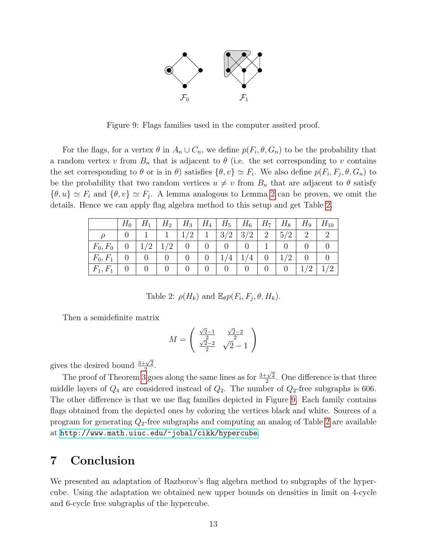

<span id="page-12-1"></span>Figure 9: Flags families used in the computer assited proof.

For the flags, for a vertex  $\theta$  in  $A_n \cup C_n$ , we define  $p(F_i, \theta, G_n)$  to be the probability that a random vertex v from  $B_n$  that is adjacent to  $\theta$  (i.e. the set corresponding to v contains the set corresponding to  $\theta$  or is in  $\theta$ ) satisfies  $\{\theta, v\} \simeq F_i$ . We also define  $p(F_i, F_j, \theta, G_n)$  to be the probability that two random vertices  $u \neq v$  from  $B_n$  that are adjacent to  $\theta$  satisfy  $\{\theta, u\} \simeq F_i$  and  $\{\theta, v\} \simeq F_j$ . A lemma analogous to Lemma [2](#page-5-2) can be proven, we omit the details. Hence we can apply flag algebra method to this setup and get Table [2.](#page-12-0)

<span id="page-12-0"></span>

|            | $H_0$          |                | $H_1$   $H_2$   $H_3$   $H_4$   $H_5$   $H_6$   $H_7$   $H_8$ |                 |                |                |                                            |   |        |                | $H_9$   $H_{10}$ |
|------------|----------------|----------------|---------------------------------------------------------------|-----------------|----------------|----------------|--------------------------------------------|---|--------|----------------|------------------|
|            |                |                | $\begin{array}{ c c c c c c } \hline & 1 & 1/2 \end{array}$   |                 |                |                | $1 \mid 3/2 \mid 3/2 \mid 2 \mid 5/2 \mid$ |   |        | 2              |                  |
| $F_0, F_0$ | $\overline{0}$ |                | $1/2$   $1/2$   0                                             |                 | $\overline{0}$ | $\overline{0}$ | $\overline{0}$                             |   |        |                |                  |
| $F_0, F_1$ |                | $\overline{0}$ | $\pm$ 0 $\pm$                                                 | $\vert 0 \vert$ |                | 0   1/4        | 1/4                                        |   | 0  1/2 | $\overline{0}$ |                  |
| $F_1, F_1$ |                | $\overline{0}$ | $\Omega$                                                      |                 |                | $\overline{0}$ | $\overline{0}$                             | 0 |        | 1/2            |                  |

Table 2: 
$$
\rho(H_k)
$$
 and  $\mathbb{E}_{\theta}p(F_i, F_j, \theta, H_k)$ .

Then a semidefinite matrix

$$
M = \begin{pmatrix} \frac{\sqrt{2}-1}{2} & \frac{\sqrt{2}-2}{2} \\ \frac{\sqrt{2}-2}{2} & \sqrt{2}-1 \end{pmatrix}
$$

gives the desired bound  $\frac{3+\sqrt{2}}{2}$  $\frac{\sqrt{2}}{2}$ .

The proof of Theorem [3](#page-2-0) goes along the same lines as for  $\frac{3+\sqrt{2}}{2}$  $\frac{1}{2}$ . One difference is that three middle layers of  $Q_4$  are considered instead of  $Q_2$ . The number of  $Q_2$ -free subgraphs is 606. The other difference is that we use flag families depicted in Figure [9.](#page-12-1) Each family contains flags obtained from the depicted ones by coloring the vertices black and white. Sources of a program for generating  $Q_2$ -free subgraphs and computing an analog of Table [2](#page-12-0) are available at <http://www.math.uiuc.edu/~jobal/cikk/hypercube>.

### 7 Conclusion

We presented an adaptation of Razborov's flag algebra method to subgraphs of the hypercube. Using the adaptation we obtained new upper bounds on densities in limit on 4-cycle and 6-cycle free subgraphs of the hypercube.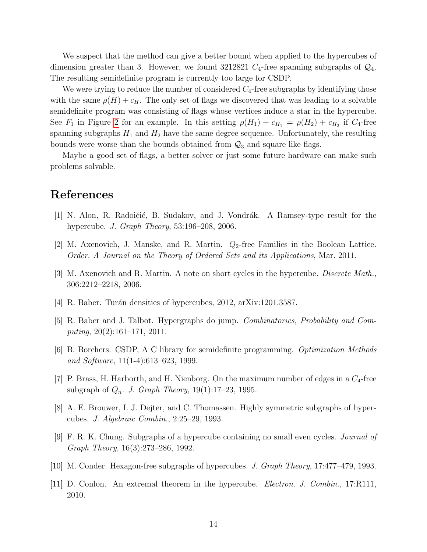We suspect that the method can give a better bound when applied to the hypercubes of dimension greater than 3. However, we found 3212821  $C_4$ -free spanning subgraphs of  $\mathcal{Q}_4$ . The resulting semidefinite program is currently too large for CSDP.

We were trying to reduce the number of considered  $C_4$ -free subgraphs by identifying those with the same  $\rho(H) + c_H$ . The only set of flags we discovered that was leading to a solvable semidefinite program was consisting of flags whose vertices induce a star in the hypercube. See  $F_1$  in Figure [2](#page-4-0) for an example. In this setting  $\rho(H_1) + c_{H_1} = \rho(H_2) + c_{H_2}$  if  $C_4$ -free spanning subgraphs  $H_1$  and  $H_2$  have the same degree sequence. Unfortunately, the resulting bounds were worse than the bounds obtained from  $\mathcal{Q}_3$  and square like flags.

Maybe a good set of flags, a better solver or just some future hardware can make such problems solvable.

#### References

- <span id="page-13-4"></span>[1] N. Alon, R. Radoičić, B. Sudakov, and J. Vondrák. A Ramsey-type result for the hypercube. J. Graph Theory, 53:196–208, 2006.
- <span id="page-13-9"></span>[2] M. Axenovich, J. Manske, and R. Martin.  $Q_2$ -free Families in the Boolean Lattice. Order. A Journal on the Theory of Ordered Sets and its Applications, Mar. 2011.
- <span id="page-13-5"></span>[3] M. Axenovich and R. Martin. A note on short cycles in the hypercube. Discrete Math., 306:2212–2218, 2006.
- <span id="page-13-8"></span>[4] R. Baber. Turán densities of hypercubes, 2012, arXiv:1201.3587.
- <span id="page-13-7"></span>[5] R. Baber and J. Talbot. Hypergraphs do jump. Combinatorics, Probability and Computing, 20(2):161–171, 2011.
- <span id="page-13-10"></span>[6] B. Borchers. CSDP, A C library for semidefinite programming. Optimization Methods and Software, 11(1-4):613–623, 1999.
- <span id="page-13-6"></span>[7] P. Brass, H. Harborth, and H. Nienborg. On the maximum number of edges in a  $C_4$ -free subgraph of  $Q_n$ . J. Graph Theory, 19(1):17–23, 1995.
- <span id="page-13-1"></span>[8] A. E. Brouwer, I. J. Dejter, and C. Thomassen. Highly symmetric subgraphs of hypercubes. J. Algebraic Combin., 2:25–29, 1993.
- <span id="page-13-0"></span>[9] F. R. K. Chung. Subgraphs of a hypercube containing no small even cycles. Journal of Graph Theory, 16(3):273–286, 1992.
- <span id="page-13-2"></span>[10] M. Conder. Hexagon-free subgraphs of hypercubes. J. Graph Theory, 17:477–479, 1993.
- <span id="page-13-3"></span>[11] D. Conlon. An extremal theorem in the hypercube. Electron. J. Combin., 17:R111, 2010.